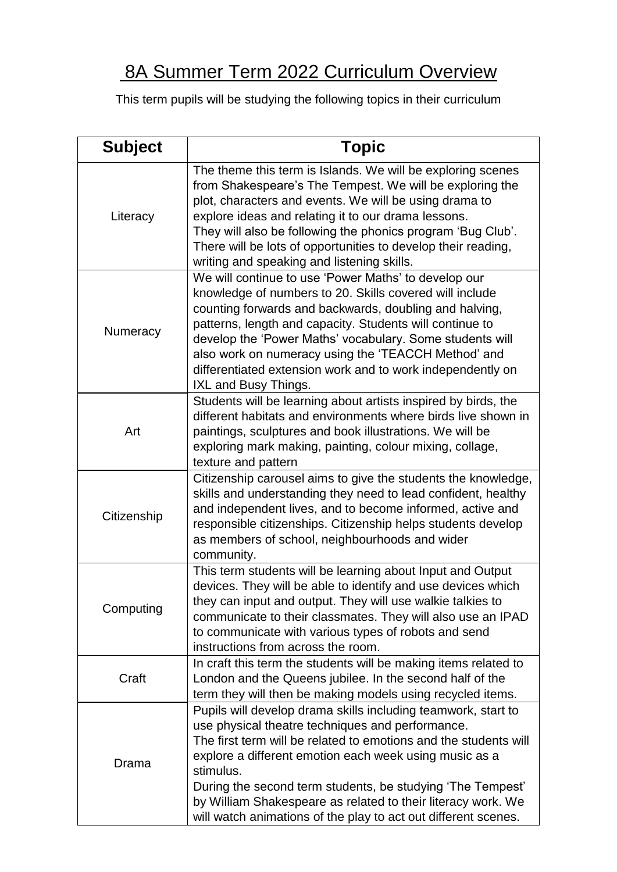## 8A Summer Term 2022 Curriculum Overview

This term pupils will be studying the following topics in their curriculum

| <b>Subject</b> | <b>Topic</b>                                                                                                                                                                                                                                                                                                                                                                                                                                                 |
|----------------|--------------------------------------------------------------------------------------------------------------------------------------------------------------------------------------------------------------------------------------------------------------------------------------------------------------------------------------------------------------------------------------------------------------------------------------------------------------|
| Literacy       | The theme this term is Islands. We will be exploring scenes<br>from Shakespeare's The Tempest. We will be exploring the<br>plot, characters and events. We will be using drama to<br>explore ideas and relating it to our drama lessons.<br>They will also be following the phonics program 'Bug Club'.<br>There will be lots of opportunities to develop their reading,<br>writing and speaking and listening skills.                                       |
| Numeracy       | We will continue to use 'Power Maths' to develop our<br>knowledge of numbers to 20. Skills covered will include<br>counting forwards and backwards, doubling and halving,<br>patterns, length and capacity. Students will continue to<br>develop the 'Power Maths' vocabulary. Some students will<br>also work on numeracy using the 'TEACCH Method' and<br>differentiated extension work and to work independently on<br>IXL and Busy Things.               |
| Art            | Students will be learning about artists inspired by birds, the<br>different habitats and environments where birds live shown in<br>paintings, sculptures and book illustrations. We will be<br>exploring mark making, painting, colour mixing, collage,<br>texture and pattern                                                                                                                                                                               |
| Citizenship    | Citizenship carousel aims to give the students the knowledge,<br>skills and understanding they need to lead confident, healthy<br>and independent lives, and to become informed, active and<br>responsible citizenships. Citizenship helps students develop<br>as members of school, neighbourhoods and wider<br>community.                                                                                                                                  |
| Computing      | This term students will be learning about Input and Output<br>devices. They will be able to identify and use devices which<br>they can input and output. They will use walkie talkies to<br>communicate to their classmates. They will also use an IPAD<br>to communicate with various types of robots and send<br>instructions from across the room.                                                                                                        |
| Craft          | In craft this term the students will be making items related to<br>London and the Queens jubilee. In the second half of the<br>term they will then be making models using recycled items.                                                                                                                                                                                                                                                                    |
| Drama          | Pupils will develop drama skills including teamwork, start to<br>use physical theatre techniques and performance.<br>The first term will be related to emotions and the students will<br>explore a different emotion each week using music as a<br>stimulus.<br>During the second term students, be studying 'The Tempest'<br>by William Shakespeare as related to their literacy work. We<br>will watch animations of the play to act out different scenes. |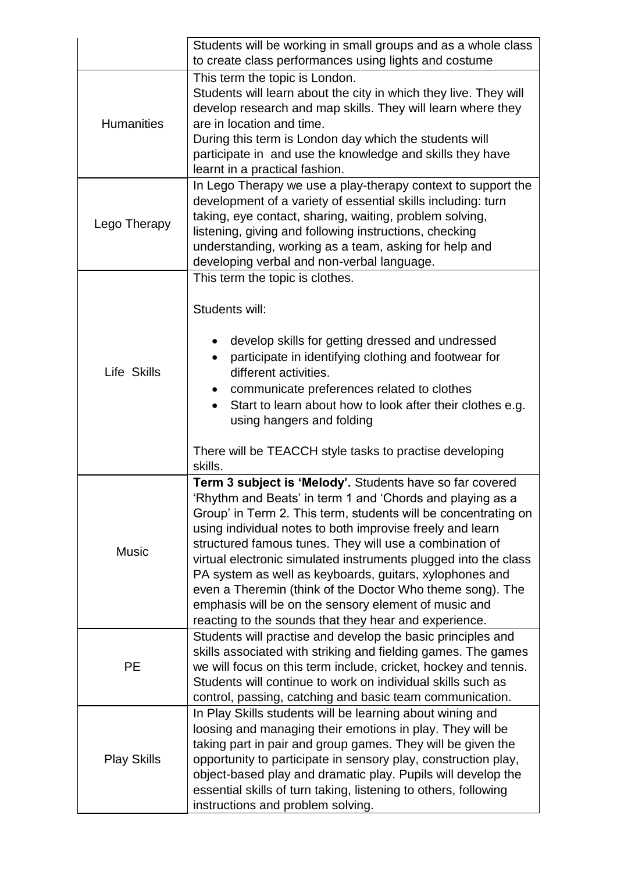|                    | Students will be working in small groups and as a whole class<br>to create class performances using lights and costume                                                                                                                                                                                                                                                                                                                                                                                                                                                                                                      |
|--------------------|-----------------------------------------------------------------------------------------------------------------------------------------------------------------------------------------------------------------------------------------------------------------------------------------------------------------------------------------------------------------------------------------------------------------------------------------------------------------------------------------------------------------------------------------------------------------------------------------------------------------------------|
| <b>Humanities</b>  | This term the topic is London.<br>Students will learn about the city in which they live. They will<br>develop research and map skills. They will learn where they<br>are in location and time.<br>During this term is London day which the students will<br>participate in and use the knowledge and skills they have<br>learnt in a practical fashion.                                                                                                                                                                                                                                                                     |
| Lego Therapy       | In Lego Therapy we use a play-therapy context to support the<br>development of a variety of essential skills including: turn<br>taking, eye contact, sharing, waiting, problem solving,<br>listening, giving and following instructions, checking<br>understanding, working as a team, asking for help and<br>developing verbal and non-verbal language.                                                                                                                                                                                                                                                                    |
| Life Skills        | This term the topic is clothes.<br>Students will:<br>develop skills for getting dressed and undressed<br>participate in identifying clothing and footwear for<br>different activities.<br>communicate preferences related to clothes<br>Start to learn about how to look after their clothes e.g.<br>using hangers and folding<br>There will be TEACCH style tasks to practise developing<br>skills.                                                                                                                                                                                                                        |
| <b>Music</b>       | Term 3 subject is 'Melody'. Students have so far covered<br>'Rhythm and Beats' in term 1 and 'Chords and playing as a<br>Group' in Term 2. This term, students will be concentrating on<br>using individual notes to both improvise freely and learn<br>structured famous tunes. They will use a combination of<br>virtual electronic simulated instruments plugged into the class<br>PA system as well as keyboards, guitars, xylophones and<br>even a Theremin (think of the Doctor Who theme song). The<br>emphasis will be on the sensory element of music and<br>reacting to the sounds that they hear and experience. |
| PE                 | Students will practise and develop the basic principles and<br>skills associated with striking and fielding games. The games<br>we will focus on this term include, cricket, hockey and tennis.<br>Students will continue to work on individual skills such as<br>control, passing, catching and basic team communication.                                                                                                                                                                                                                                                                                                  |
| <b>Play Skills</b> | In Play Skills students will be learning about wining and<br>loosing and managing their emotions in play. They will be<br>taking part in pair and group games. They will be given the<br>opportunity to participate in sensory play, construction play,<br>object-based play and dramatic play. Pupils will develop the<br>essential skills of turn taking, listening to others, following<br>instructions and problem solving.                                                                                                                                                                                             |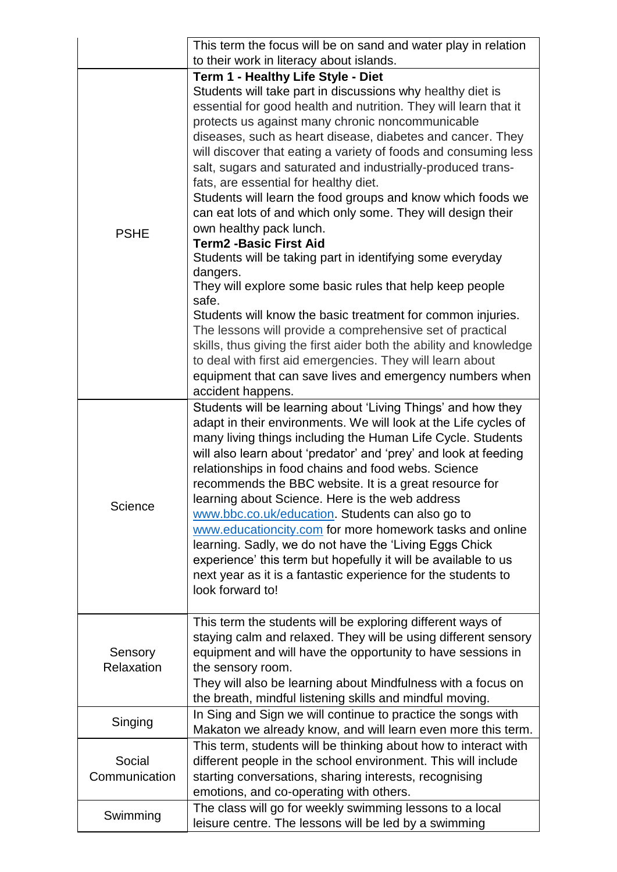|                         | This term the focus will be on sand and water play in relation                                                                                                                                                                                                                                                                                                                                                                                                                                                                                                                                                                                                                                                                                                                                                                                                                                                                                                                                                                                                                                                                       |
|-------------------------|--------------------------------------------------------------------------------------------------------------------------------------------------------------------------------------------------------------------------------------------------------------------------------------------------------------------------------------------------------------------------------------------------------------------------------------------------------------------------------------------------------------------------------------------------------------------------------------------------------------------------------------------------------------------------------------------------------------------------------------------------------------------------------------------------------------------------------------------------------------------------------------------------------------------------------------------------------------------------------------------------------------------------------------------------------------------------------------------------------------------------------------|
|                         | to their work in literacy about islands.                                                                                                                                                                                                                                                                                                                                                                                                                                                                                                                                                                                                                                                                                                                                                                                                                                                                                                                                                                                                                                                                                             |
| <b>PSHE</b>             | Term 1 - Healthy Life Style - Diet<br>Students will take part in discussions why healthy diet is<br>essential for good health and nutrition. They will learn that it<br>protects us against many chronic noncommunicable<br>diseases, such as heart disease, diabetes and cancer. They<br>will discover that eating a variety of foods and consuming less<br>salt, sugars and saturated and industrially-produced trans-<br>fats, are essential for healthy diet.<br>Students will learn the food groups and know which foods we<br>can eat lots of and which only some. They will design their<br>own healthy pack lunch.<br><b>Term2 -Basic First Aid</b><br>Students will be taking part in identifying some everyday<br>dangers.<br>They will explore some basic rules that help keep people<br>safe.<br>Students will know the basic treatment for common injuries.<br>The lessons will provide a comprehensive set of practical<br>skills, thus giving the first aider both the ability and knowledge<br>to deal with first aid emergencies. They will learn about<br>equipment that can save lives and emergency numbers when |
| Science                 | accident happens.<br>Students will be learning about 'Living Things' and how they<br>adapt in their environments. We will look at the Life cycles of<br>many living things including the Human Life Cycle. Students<br>will also learn about 'predator' and 'prey' and look at feeding<br>relationships in food chains and food webs. Science<br>recommends the BBC website. It is a great resource for<br>learning about Science. Here is the web address<br>www.bbc.co.uk/education. Students can also go to<br>www.educationcity.com for more homework tasks and online<br>learning. Sadly, we do not have the 'Living Eggs Chick<br>experience' this term but hopefully it will be available to us<br>next year as it is a fantastic experience for the students to<br>look forward to!                                                                                                                                                                                                                                                                                                                                          |
| Sensory<br>Relaxation   | This term the students will be exploring different ways of<br>staying calm and relaxed. They will be using different sensory<br>equipment and will have the opportunity to have sessions in<br>the sensory room.<br>They will also be learning about Mindfulness with a focus on<br>the breath, mindful listening skills and mindful moving.                                                                                                                                                                                                                                                                                                                                                                                                                                                                                                                                                                                                                                                                                                                                                                                         |
| Singing                 | In Sing and Sign we will continue to practice the songs with<br>Makaton we already know, and will learn even more this term.                                                                                                                                                                                                                                                                                                                                                                                                                                                                                                                                                                                                                                                                                                                                                                                                                                                                                                                                                                                                         |
| Social<br>Communication | This term, students will be thinking about how to interact with<br>different people in the school environment. This will include<br>starting conversations, sharing interests, recognising<br>emotions, and co-operating with others.                                                                                                                                                                                                                                                                                                                                                                                                                                                                                                                                                                                                                                                                                                                                                                                                                                                                                                |
| Swimming                | The class will go for weekly swimming lessons to a local<br>leisure centre. The lessons will be led by a swimming                                                                                                                                                                                                                                                                                                                                                                                                                                                                                                                                                                                                                                                                                                                                                                                                                                                                                                                                                                                                                    |